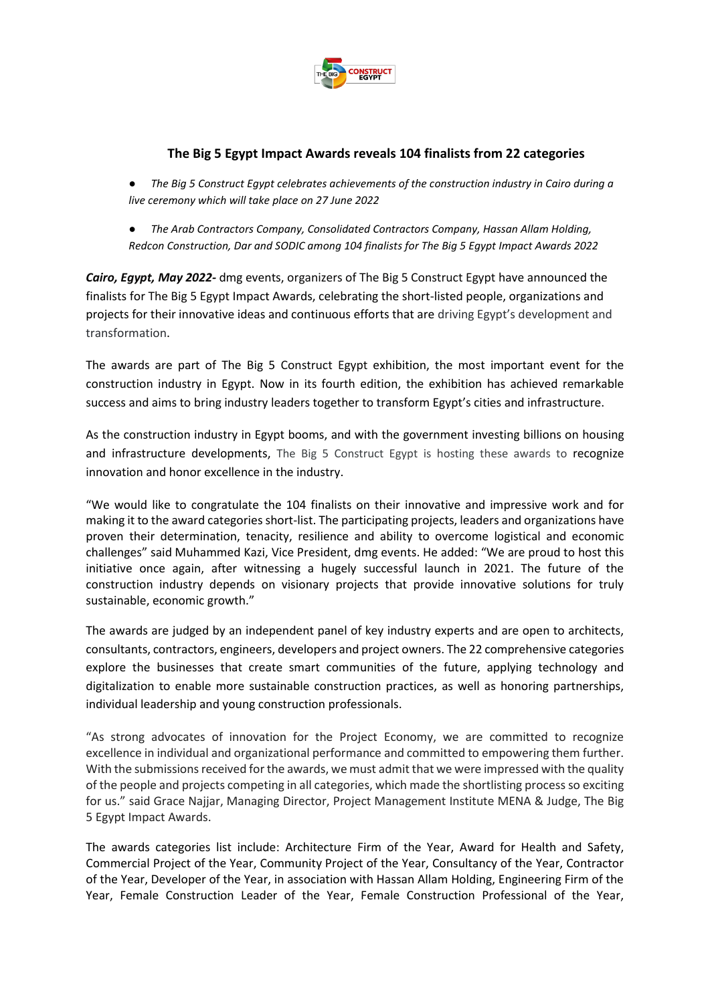

# **The Big 5 Egypt Impact Awards reveals 104 finalists from 22 categories**

● *The Big 5 Construct Egypt celebrates achievements of the construction industry in Cairo during a live ceremony which will take place on 27 June 2022*

● *The Arab Contractors Company, Consolidated Contractors Company, Hassan Allam Holding, Redcon Construction, Dar and SODIC among 104 finalists for The Big 5 Egypt Impact Awards 2022*

*Cairo, Egypt, May 2022-* dmg events, organizers of The Big 5 Construct Egypt have announced the finalists for The Big 5 Egypt Impact Awards, celebrating the short-listed people, organizations and projects for their innovative ideas and continuous efforts that are driving Egypt's development and transformation.

The awards are part of The Big 5 Construct Egypt exhibition, the most important event for the construction industry in Egypt. Now in its fourth edition, the exhibition has achieved remarkable success and aims to bring industry leaders together to transform Egypt's cities and infrastructure.

As the construction industry in Egypt booms, and with the government investing billions on housing and infrastructure developments, The Big 5 Construct Egypt is hosting these awards to recognize innovation and honor excellence in the industry.

"We would like to congratulate the 104 finalists on their innovative and impressive work and for making it to the award categories short-list. The participating projects, leaders and organizations have proven their determination, tenacity, resilience and ability to overcome logistical and economic challenges" said Muhammed Kazi, Vice President, dmg events. He added: "We are proud to host this initiative once again, after witnessing a hugely successful launch in 2021. The future of the construction industry depends on visionary projects that provide innovative solutions for truly sustainable, economic growth."

The awards are judged by an independent panel of key industry experts and are open to architects, consultants, contractors, engineers, developers and project owners. The 22 comprehensive categories explore the businesses that create smart communities of the future, applying technology and digitalization to enable more sustainable construction practices, as well as honoring partnerships, individual leadership and young construction professionals.

"As strong advocates of innovation for the Project Economy, we are committed to recognize excellence in individual and organizational performance and committed to empowering them further. With the submissions received for the awards, we must admit that we were impressed with the quality of the people and projects competing in all categories, which made the shortlisting process so exciting for us." said Grace Najjar, Managing Director, Project Management Institute MENA & Judge, The Big 5 Egypt Impact Awards.

The awards categories list include: Architecture Firm of the Year, Award for Health and Safety, Commercial Project of the Year, Community Project of the Year, Consultancy of the Year, Contractor of the Year, Developer of the Year, in association with Hassan Allam Holding, Engineering Firm of the Year, Female Construction Leader of the Year, Female Construction Professional of the Year,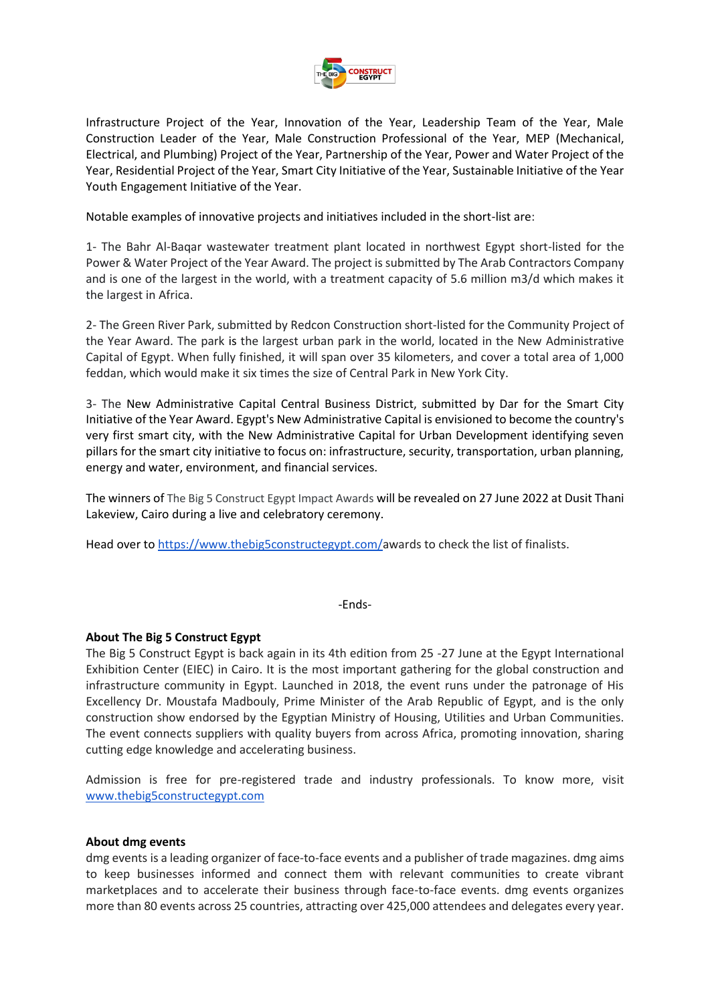

Infrastructure Project of the Year, Innovation of the Year, Leadership Team of the Year, Male Construction Leader of the Year, Male Construction Professional of the Year, MEP (Mechanical, Electrical, and Plumbing) Project of the Year, Partnership of the Year, Power and Water Project of the Year, Residential Project of the Year, Smart City Initiative of the Year, Sustainable Initiative of the Year Youth Engagement Initiative of the Year.

Notable examples of innovative projects and initiatives included in the short-list are:

1- The Bahr Al-Baqar wastewater treatment plant located in northwest Egypt short-listed for the Power & Water Project of the Year Award. The project is submitted by The Arab Contractors Company and is one of the largest in the world, with a treatment capacity of 5.6 million m3/d which makes it the largest in Africa.

2- The Green River Park, submitted by Redcon Construction short-listed for the Community Project of the Year Award. The park is the largest urban park in the world, located in the New Administrative Capital of Egypt. When fully finished, it will span over 35 kilometers, and cover a total area of 1,000 feddan, which would make it six times the size of Central Park in New York City.

3- The New Administrative Capital Central Business District, submitted by Dar for the Smart City Initiative of the Year Award. Egypt's New Administrative Capital is envisioned to become the country's very first smart city, with the New Administrative Capital for Urban Development identifying seven pillars for the smart city initiative to focus on: infrastructure, security, transportation, urban planning, energy and water, environment, and financial services.

The winners of The Big 5 Construct Egypt Impact Awards will be revealed on 27 June 2022 at Dusit Thani Lakeview, Cairo during a live and celebratory ceremony.

Head over t[o https://www.thebig5constructegypt.com/a](https://www.thebig5constructegypt.com/)wards to check the list of finalists.

-Ends-

## **About The Big 5 Construct Egypt**

The Big 5 Construct Egypt is back again in its 4th edition from 25 -27 June at the Egypt International Exhibition Center (EIEC) in Cairo. It is the most important gathering for the global construction and infrastructure community in Egypt. Launched in 2018, the event runs under the patronage of His Excellency Dr. Moustafa Madbouly, Prime Minister of the Arab Republic of Egypt, and is the only construction show endorsed by the Egyptian Ministry of Housing, Utilities and Urban Communities. The event connects suppliers with quality buyers from across Africa, promoting innovation, sharing cutting edge knowledge and accelerating business.

Admission is free for pre-registered trade and industry professionals. To know more, visi[t](http://www.thebig5constructegypt.com/) [www.thebig5constructegypt.com](http://www.thebig5constructegypt.com/)

### **About dmg events**

dmg events is a leading organizer of face-to-face events and a publisher of trade magazines. dmg aims to keep businesses informed and connect them with relevant communities to create vibrant marketplaces and to accelerate their business through face-to-face events. dmg events organizes more than 80 events across 25 countries, attracting over 425,000 attendees and delegates every year.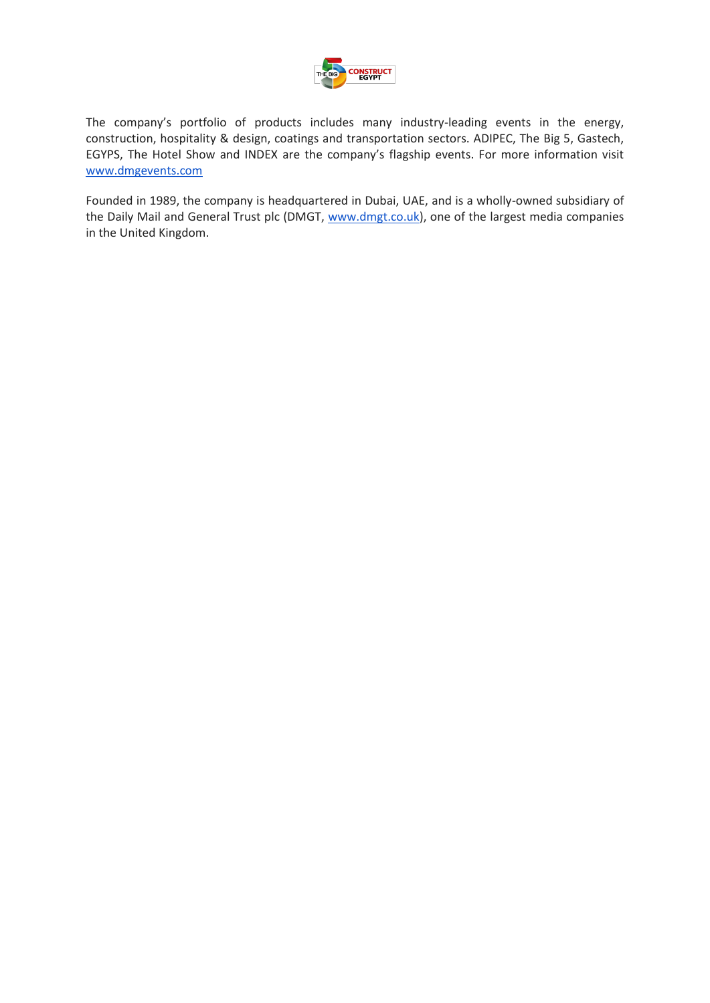

The company's portfolio of products includes many industry-leading events in the energy, construction, hospitality & design, coatings and transportation sectors. ADIPEC, The Big 5, Gastech, EGYPS, The Hotel Show and INDEX are the company's flagship events. For more information visi[t](https://eur01.safelinks.protection.outlook.com/?url=http%3A%2F%2Fwww.dmgevents.com%2F&data=05%7C01%7Cviviansaffier%40dmgevents.com%7C6d8324daa7194a6d9dac08da37046c53%7C01284bdcfc5e49da965773b6a06a9e51%7C0%7C0%7C637882789376476218%7CUnknown%7CTWFpbGZsb3d8eyJWIjoiMC4wLjAwMDAiLCJQIjoiV2luMzIiLCJBTiI6Ik1haWwiLCJXVCI6Mn0%3D%7C3000%7C%7C%7C&sdata=xXix%2B7ATHvj5IOnCBr6lx2M%2FfvCZVO1DAo7vL1aFXFY%3D&reserved=0) [www.dmgevents.com](https://eur01.safelinks.protection.outlook.com/?url=http%3A%2F%2Fwww.dmgevents.com%2F&data=05%7C01%7Cviviansaffier%40dmgevents.com%7C6d8324daa7194a6d9dac08da37046c53%7C01284bdcfc5e49da965773b6a06a9e51%7C0%7C0%7C637882789376476218%7CUnknown%7CTWFpbGZsb3d8eyJWIjoiMC4wLjAwMDAiLCJQIjoiV2luMzIiLCJBTiI6Ik1haWwiLCJXVCI6Mn0%3D%7C3000%7C%7C%7C&sdata=xXix%2B7ATHvj5IOnCBr6lx2M%2FfvCZVO1DAo7vL1aFXFY%3D&reserved=0)

Founded in 1989, the company is headquartered in Dubai, UAE, and is a wholly-owned subsidiary of the Daily Mail and General Trust plc (DMGT[,](https://eur01.safelinks.protection.outlook.com/?url=http%3A%2F%2Fwww.dmgt.co.uk%2F&data=05%7C01%7Cviviansaffier%40dmgevents.com%7C6d8324daa7194a6d9dac08da37046c53%7C01284bdcfc5e49da965773b6a06a9e51%7C0%7C0%7C637882789376476218%7CUnknown%7CTWFpbGZsb3d8eyJWIjoiMC4wLjAwMDAiLCJQIjoiV2luMzIiLCJBTiI6Ik1haWwiLCJXVCI6Mn0%3D%7C3000%7C%7C%7C&sdata=4HSjVZhSMopsGUQhdLWzyxJEjG0Q6ALJ94YM3fyc7Z8%3D&reserved=0) [www.dmgt.co.uk\)](https://eur01.safelinks.protection.outlook.com/?url=http%3A%2F%2Fwww.dmgt.co.uk%2F&data=05%7C01%7Cviviansaffier%40dmgevents.com%7C6d8324daa7194a6d9dac08da37046c53%7C01284bdcfc5e49da965773b6a06a9e51%7C0%7C0%7C637882789376476218%7CUnknown%7CTWFpbGZsb3d8eyJWIjoiMC4wLjAwMDAiLCJQIjoiV2luMzIiLCJBTiI6Ik1haWwiLCJXVCI6Mn0%3D%7C3000%7C%7C%7C&sdata=4HSjVZhSMopsGUQhdLWzyxJEjG0Q6ALJ94YM3fyc7Z8%3D&reserved=0), one of the largest media companies in the United Kingdom.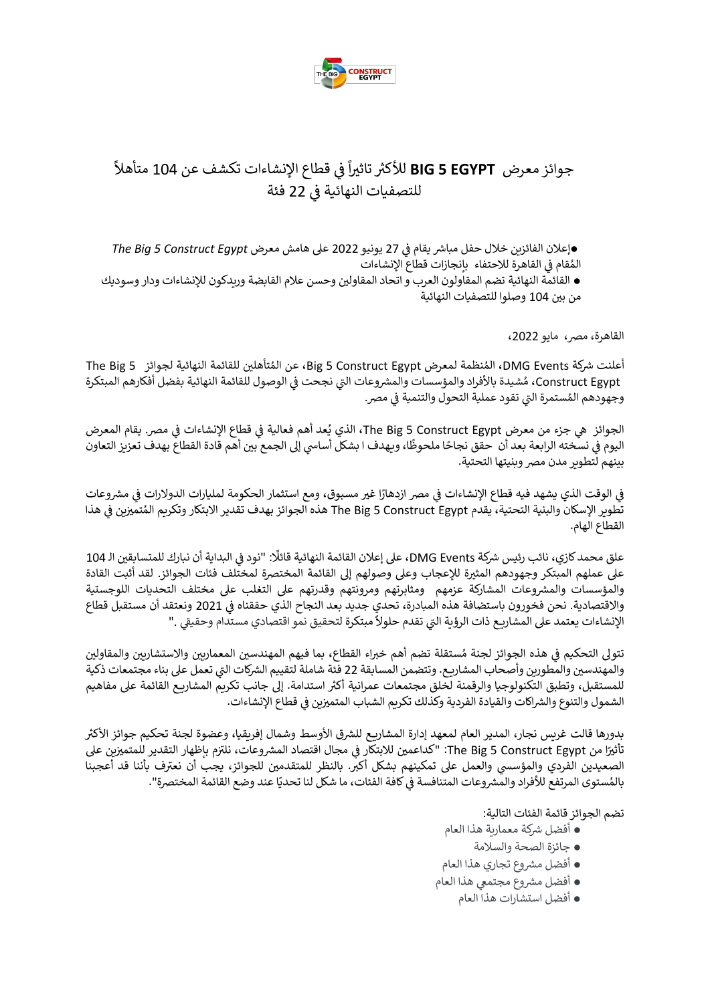

#### ي جوائز معرض **EGYPT 5 BIG** قطاع ف ֦֧֦֧֦֧֦֧֦֧֦֧֦֧֦֧֦֧֦֧֦֧֦֧֧֦֧֦֧֜֜֓ ا<br>آ للأكثر تاثيراً في قطاع الإنشاءات تكشف عن 104 ر ً متأهال ي : للتصفيات النهائية ف 22 فئة

*●*  رشيقام ف إعالن الفائزين خالل حفل مبا 27 يونيو 2022 عىل هامش معرض *Egypt Construct 5 Big The* ي ֧֦֧֦֧֦֧֦֧֦֧֦֧֦֧֦֧֦֧֦֧֦֧֦֧֧֦֧֚֬֜֜֜֜֜֜֜֞֓ المُقام في القاهرة للاحتفاء بإنجازات قطاع الإنشاءات ي :<br>: و<br>م ● القائمة النهائية تضم المقاولون العرب و اتحاد المقاولين وحسن علام القابضة وريدكون للإنشاءات ودار وسوديك

من بري 104 وصلوا للتصفيات النهائية

القاهرة، مصر، مايو 2022،

أعلنت شركة DMG Events، المُنظمة لمعرض Big 5 Construct Egypt، عن المُتأهلين للقائمة النهائية لجوائز The Big 5 ٍ<br>مُ ٍ<br>مُ .<br>Construct Egypt، مُشيدة بالأفراد والمؤسسات والمشروعات التي نجحت في الوصول للقائمة النهائية بفضل أفكارهم المبتكرة ي ֦֧֦֧֦֧֦֧֦֧֦֧֦֧ׅ֦֧֦֧֚֚֚֬֜֜֓֡֡֜֓֡֡֬ وجهودهم المُستمرة التي تقود عملية التحولُ والتنمية في مصر. ي į **و** 

الجوائز هي جزء من معرض The Big 5 Construct Egypt ، الذي يُعد أهم فعالية في قطاع الإنشاءات في مصر. يقام المعرض ي ֦֧֦֧֦֧֦֧֦֧֦֧֦֧֦֧ׅׅׅ֚֚֡֜֜֜֜֜֜֜֓֡֡֜֓֡֡֬֜֓֡֬ ي : ؚ<br>' حبوس حي بتر، بن معرض Constract Egypt و Constract .<br>اليوم في نسخته الرابعة بعد أن حقق نجاحًا ملحوظًا، ويهدف ا بشكل أساسي إلى الجمع بين أهم قادة القطاع بهدف تعزيز التعاون ي : بينهم لتطوير مدن مصر وبنيتها التحتية.

.<br>في الوقت الذي يشهد فيه قطاع الإنشاءات في مصر ازدهارًا غير مسبوق، ومع استثمار الحكومة لمليارات الدولارات في مشروعات ي l ي ي į تطوير الإسكان والبنية التحتية، يقدم The Big 5 Construct Egypt هذه الجوائز بهدف تقدير الابتكار وتكريم المُتميزين في هذا ي ֖֖֦֧֚֚֚֚֚֚֚֚֚֡֝֝֬֝֝֬֝֓֝֬֝֬֝֬֝֓֝֬֝֝֬֝֝֬֝<del>֛</del> ُ القطاع الهام.

علق محمد كازي، نائب رئيس شركة DMG Events، على إعلان القائمة النهائية قائلًا: "نود في البداية أن نبارك للمتسابقين الـ 104 ֧֦֧֦֧֦֧֦֧֦֧֦֧֦֧֦֧֦֧֦֧֦֧֦֚֬֜֜֜֜֜֜֞ . على عملهم المبتكر وجهودهم المثيرة للإعجاب وعلى وصولهم إلى القائمة المختصرة لمختلف فئات الجوائز. لقد أثبت القادة والمؤسسات والمشروعات المشاركة عزمهم ومثابرتهم ومرونتهم وقدرتهم على التغلب على مختلف التحديات اللوجستية والاقتصادية. نحن فخورون باستضافة هذه المبادرة، تحدي جديد بعد النجاح الذي حققناه في 2021 ونعتقد أن مستقبل قطاع ֦֧֦֧֦֧֦֧֦֧֦֧֦֧֦֧֚֚֚֡֜֜֜֜֜֜֜֜֜֜֜֞֜֜ ر رحم حيث على حصور المسترد المستدام المستدامي.<br>الإنشاءات يعتمد على المشاريع ذات الرؤية التي تقدم حلولاً مبتكرة لتحقيق نمو اقتصادي مستدام وحقيقي ." ي

تتولى التحكيم في هذه الجوائز لجنة مُستقلة تضم أهم خبراء القطاع، بما فيهم المهندسين المعماريين والاستشاريين والمقاولين<br>-ُ : والمهندسين والمطورين وأصحاب المشاريع. وتتضمن المسابقة 22 فئة شاملة لتقييم الشركات التي تعمل على بناء مجتمعات ذكية للمستقبل، وتطبق التكنولوجيا والرقمنة لخلق مجتمعات عمرانية أكثر استدامة. إلى جانب تكريم المشاريع القائمة على مفاهيم ر الشمول والتنوع والشراكات والقيادة الفردية وكذلك تكريم الشباب المتميزين في قطاع الإنشاءات. ي l

بدورها قالت غريس نجار، المدير العام لمعهد إدارة المشاريع للشرق الأوسط وشمال إفريقيا، وعضوة لجنة تحكيم جوائز الأكثر .<br>تأثيرًا من The Big 5 Construct Egypt: "كداعمين للابتكار في مجال اقتصاد المشروعات، نلتزم بإظهار التقدير للمتميزين على .<br>' ي ֧֦֧֦֧֦֧֦֧֦֧֦֧֦֧֦֧֧֦֧֦֧֦֧֦֧֚֬֜֜֓ الصعيدين الفردي والمؤسسي والعمل على تمكينهم بشكل أكبر. بالنظر للمتقدمين للجوائز، يجب أن نعترف بأننا قد أعجبنا ي ֧֧֧֧֧֧֦֧֧֖֚֚֚֚֚֚֚֚֚֚֚֚֚֚֚֚֚֚֚֚֚֚֚֚֚֬֝֝֝֓֝֬֝֓֝֓֝֓֝֓֓֝֬֓֓֝֬֝֓ ي ...<br>بالمُستوى المرتفع للأفراد والمشروعات المتنافسة في كافة الفئات، ما شكل لنا تحديًا عند وضع القائمة المختصرة". و<br>م

تضم الجوائز قائمة الفئات التالية:

- أفضل رشكة معمارية هذا العام
	- جائزة الصحة والسالمة
- أفضل مشروع تجاري هذا العام
- أفضل مشروع مجتمعي هذا العام
	- أفضل استشارات هذا العام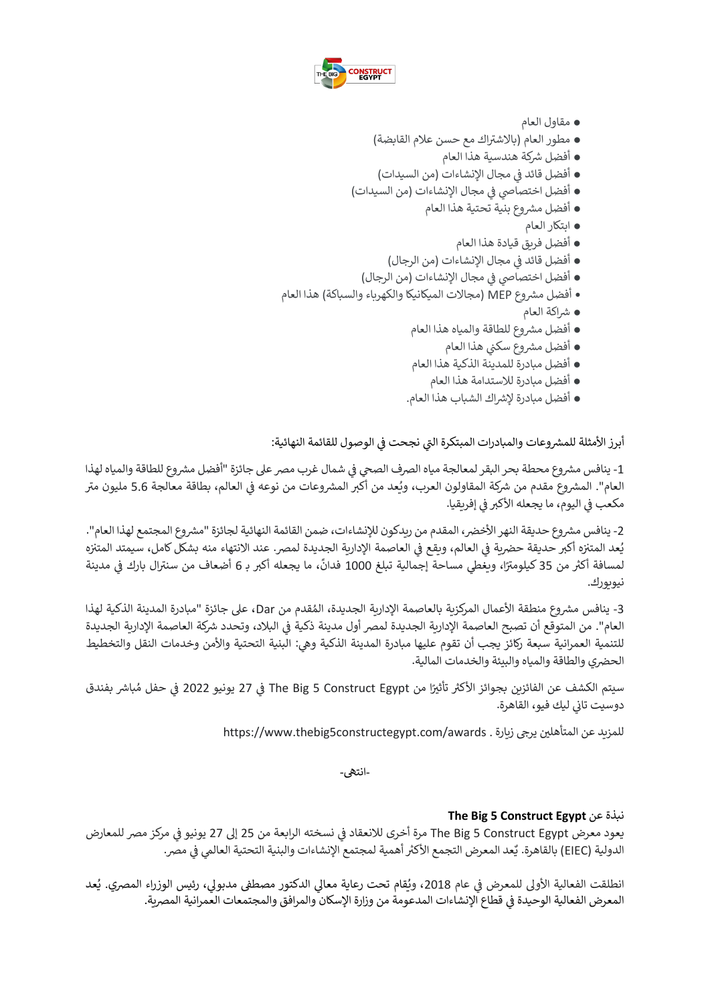

- مقاول العام
- مطور العام (بالاشتراك مع حسن علام القابضة)
	- أفضل رشكة هندسية هذا العام
- أفضل قائد في مجال الإنشاءات (من السيدات) ي į
- أفضل اختصاصي في مجال الإنشاءات (من السيدات) ي į
	- أفضل مشروع بنية تحتية هذا العام
		- ابتكار العام
		- أفضل فريق قيادة هذا العام
	- ي į ● أفضل قائد في مجال الإنشاءات (من الرجال) į
	- أفضل اختصاصي في مجال الإنشاءات (من الرجال) ي
- أفضل مشروع MEP (مجالات الميكانيكا والكهرباء والسباكة) هذا العام
	- رشاكة العام
	- أفضل مشروع للطاقة والمياه هذا العام
		- **•** أفضل مشروع سكني هذا العام
	- أفضل مبادرة للمدينة الذكية هذا العام
		- أفضل مبادرة لالستدامة هذا العام
	- أفضل مبادرة إلرشاك الشباب هذا العام.

أبرز الأمثلة للمشروعات والمبادرات المبتكرة التي نجحت في الوصول للقائمة النهائية: ي :

1- ينافس مشروع محطة بحر البقر لمعالجة مياه الصرف الصحي في شمال غرب مصر على جائزة "أفضل مشروع للطاقة والمياه لهذا : العام". المشروع مقدم من شركة المقاولون العرب، ويُعد من أكبر المشروعات من نوعه في العالم، بطاقة معالجة 5.6 مليون متر ي ֦֧֦֧֦֧֦֧֦֧֦֧֦֧֦֧֧֦֧֦֧֦֜֜֓֓֜֜֜֜֜ ۔<br>و مكعب في اليوم، ما يجعله الأكبر في إفريقيا. ي : ي i

2- ينافس مشروع حديقة النهر الأخضر، المقدم من ريدكون للإنشاءات، ضمن القائمة النهائية لجائزة "مشروع المجتمع لهذا العام". يعد المتنزه أكبر حديقة حضرية في العالم، ويقع في العاصمة الإدارية الجديدة لمصر. عند الانتهاء منه بشكل كامل، سيمتد المتنزه ֚֚֚֚֬ ي : ي l ֚֚֚֡ و<br>د .<br>لمسافة أكثر من 35 كيلومترًا، ويغطي مساحة إجمالية تبلغ 1000 فدانً، ما يجعله أكبر بـ 6 أضعاف من سنترال بارك في مدينة ر<br>آ ي ֦֧֦֧֦֧֦֧֦֧֦֧֦֧֦֧֧֦֧֦֧֦֜֜֓֓֜֜֜֜֜ نيويورك.

3- ينافس مشروع منطقة الأعمال المركزية بالعاصمة الإدارية الجديدة، المُقدم من Dar، على جائزة "مبادرة المدينة الذكية لهذا و<br>۵ العام". من المتوقّع أن تصبح العاصمة الإدارية الجديدة لمصر أول مدينة ذكية في البلاد، وتحدد شركة العاصمة الإدارية الجديدة ي ֦֧֦֧֦֧֦֧֦֧֦֧֦֧ׅ֦֧֚֚֚֬֜֜֓֡֡֡֜֓֡֡֡֬ للتنمية العمرانية سبعة ركائز يجب أن تقوم عليها مبادرة المدينة الذكية وهي: البنية التحتية والأمن وخدمات النقل والتخطيط الحضري والطاقة والمياه والبيئة والخدمات المالية.

سيتم الكشف عن الفائزين بجوائز الأكثر تأثيرًا من The Big 5 Construct Egypt في 27 يونيو 2022 في حفل مُباشر بفندق ا ي ֦֧֦֧֦֧֦֧֦֧֦֧֦֧֚֚֚֡֜֜֜֜֜ ٍ<br>ٌ ֦֧֦֧֦֧֦֧֦֧֦֧֚֚֚֚֡֜֜֜֜֜֜ .<br>دوسيت تاني ليك فيو، القاهرة. ي

للمزيد عن المتأهلين يرجى زيارة . https://www.thebig5constructegypt.com/awards

-انتىه-

# **The Big 5 Construct Egypt** عن نبذة

.<br>يعود معرض The Big 5 Construct Egypt مرة أخرى للانعقاد في نسخته الرابعة من 25 إلى 27 يونيو في مركز مصر للمعارض ي ي ֦֧֦֧֦֧֦֧֦֧֦֧֦֧֦֧֦֧֦֧֚֚֡֜֜֜֜֜֜֜֜ ..<br>الدولية (EIEC) بالقاهرة. يُعد المعرض التجمع الأكثر أهمية لمجتمع الإنشاءات والبنية التحتية العالمي في مصر. ي ֦֦֦֧֦֧֦֧֦֧֦֧֦֧֦֧֦֧֧֦֧֛֚֚֚֚֚֡֜֓֜֜֓

انطلقت الفعالية الأولى للمعرض في عام 2018، ويُقام تحت رعاية معالي الدكتور مصطفى مدبولي، رئيس الوزراء المصري. يُعد  $\frac{1}{2}$ ؚ<br>' ُ المعرض الفعالية الوحيدة في قطاع الإنشاءات المدعومة من وزارة الإسكان والمرافق والمجتمعات العمرانية المصرية. ي į